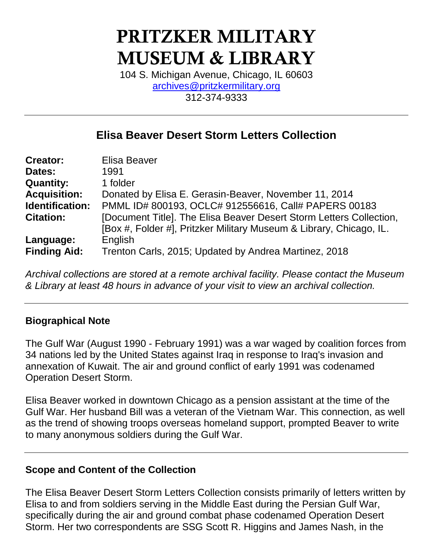# **PRITZKER MILITARY MUSEUM & LIBRARY**

104 S. Michigan Avenue, Chicago, IL 60603 [archives@pritzkermilitary.org](mailto:archives@pritzkermilitary.org) 312-374-9333

# **Elisa Beaver Desert Storm Letters Collection**

| <b>Creator:</b>     | Elisa Beaver                                                        |
|---------------------|---------------------------------------------------------------------|
| Dates:              | 1991                                                                |
| <b>Quantity:</b>    | 1 folder                                                            |
| <b>Acquisition:</b> | Donated by Elisa E. Gerasin-Beaver, November 11, 2014               |
| Identification:     | PMML ID# 800193, OCLC# 912556616, Call# PAPERS 00183                |
| <b>Citation:</b>    | [Document Title]. The Elisa Beaver Desert Storm Letters Collection, |
|                     | [Box #, Folder #], Pritzker Military Museum & Library, Chicago, IL. |
| Language:           | English                                                             |
| <b>Finding Aid:</b> | Trenton Carls, 2015; Updated by Andrea Martinez, 2018               |

*Archival collections are stored at a remote archival facility. Please contact the Museum & Library at least 48 hours in advance of your visit to view an archival collection.*

## **Biographical Note**

The Gulf War (August 1990 - February 1991) was a war waged by coalition forces from 34 nations led by the United States against Iraq in response to Iraq's invasion and annexation of Kuwait. The air and ground conflict of early 1991 was codenamed Operation Desert Storm.

Elisa Beaver worked in downtown Chicago as a pension assistant at the time of the Gulf War. Her husband Bill was a veteran of the Vietnam War. This connection, as well as the trend of showing troops overseas homeland support, prompted Beaver to write to many anonymous soldiers during the Gulf War.

## **Scope and Content of the Collection**

The Elisa Beaver Desert Storm Letters Collection consists primarily of letters written by Elisa to and from soldiers serving in the Middle East during the Persian Gulf War, specifically during the air and ground combat phase codenamed Operation Desert Storm. Her two correspondents are SSG Scott R. Higgins and James Nash, in the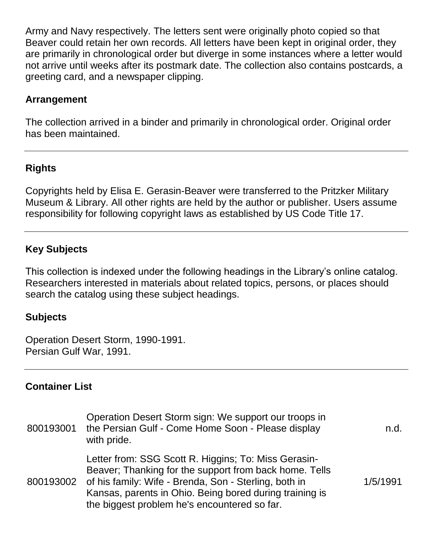Army and Navy respectively. The letters sent were originally photo copied so that Beaver could retain her own records. All letters have been kept in original order, they are primarily in chronological order but diverge in some instances where a letter would not arrive until weeks after its postmark date. The collection also contains postcards, a greeting card, and a newspaper clipping.

#### **Arrangement**

The collection arrived in a binder and primarily in chronological order. Original order has been maintained.

#### **Rights**

Copyrights held by Elisa E. Gerasin-Beaver were transferred to the Pritzker Military Museum & Library. All other rights are held by the author or publisher. Users assume responsibility for following copyright laws as established by US Code Title 17.

#### **Key Subjects**

This collection is indexed under the following headings in the Library's online catalog. Researchers interested in materials about related topics, persons, or places should search the catalog using these subject headings.

#### **Subjects**

Operation Desert Storm, 1990-1991. Persian Gulf War, 1991.

#### **Container List**

| 800193001 | Operation Desert Storm sign: We support our troops in<br>the Persian Gulf - Come Home Soon - Please display<br>with pride.                                                                                                                                                                   | n.d.     |
|-----------|----------------------------------------------------------------------------------------------------------------------------------------------------------------------------------------------------------------------------------------------------------------------------------------------|----------|
|           | Letter from: SSG Scott R. Higgins; To: Miss Gerasin-<br>Beaver; Thanking for the support from back home. Tells<br>800193002 of his family: Wife - Brenda, Son - Sterling, both in<br>Kansas, parents in Ohio. Being bored during training is<br>the biggest problem he's encountered so far. | 1/5/1991 |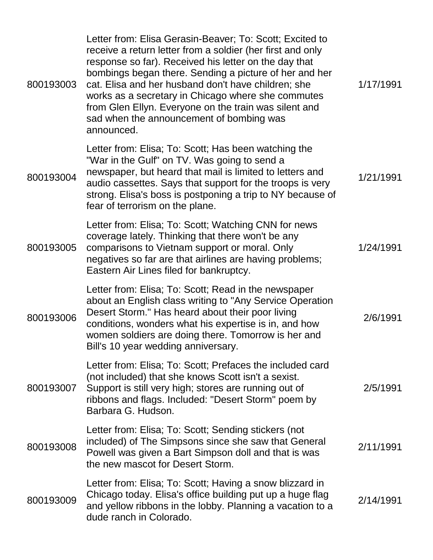| 800193003 | Letter from: Elisa Gerasin-Beaver; To: Scott; Excited to<br>receive a return letter from a soldier (her first and only<br>response so far). Received his letter on the day that<br>bombings began there. Sending a picture of her and her<br>cat. Elisa and her husband don't have children; she<br>works as a secretary in Chicago where she commutes<br>from Glen Ellyn. Everyone on the train was silent and<br>sad when the announcement of bombing was<br>announced. | 1/17/1991 |
|-----------|---------------------------------------------------------------------------------------------------------------------------------------------------------------------------------------------------------------------------------------------------------------------------------------------------------------------------------------------------------------------------------------------------------------------------------------------------------------------------|-----------|
| 800193004 | Letter from: Elisa; To: Scott; Has been watching the<br>"War in the Gulf" on TV. Was going to send a<br>newspaper, but heard that mail is limited to letters and<br>audio cassettes. Says that support for the troops is very<br>strong. Elisa's boss is postponing a trip to NY because of<br>fear of terrorism on the plane.                                                                                                                                            | 1/21/1991 |
| 800193005 | Letter from: Elisa; To: Scott; Watching CNN for news<br>coverage lately. Thinking that there won't be any<br>comparisons to Vietnam support or moral. Only<br>negatives so far are that airlines are having problems;<br>Eastern Air Lines filed for bankruptcy.                                                                                                                                                                                                          | 1/24/1991 |
| 800193006 | Letter from: Elisa; To: Scott; Read in the newspaper<br>about an English class writing to "Any Service Operation"<br>Desert Storm." Has heard about their poor living<br>conditions, wonders what his expertise is in, and how<br>women soldiers are doing there. Tomorrow is her and<br>Bill's 10 year wedding anniversary.                                                                                                                                              | 2/6/1991  |
| 800193007 | Letter from: Elisa; To: Scott; Prefaces the included card<br>(not included) that she knows Scott isn't a sexist.<br>Support is still very high; stores are running out of<br>ribbons and flags. Included: "Desert Storm" poem by<br>Barbara G. Hudson.                                                                                                                                                                                                                    | 2/5/1991  |
| 800193008 | Letter from: Elisa; To: Scott; Sending stickers (not<br>included) of The Simpsons since she saw that General<br>Powell was given a Bart Simpson doll and that is was<br>the new mascot for Desert Storm.                                                                                                                                                                                                                                                                  | 2/11/1991 |
| 800193009 | Letter from: Elisa; To: Scott; Having a snow blizzard in<br>Chicago today. Elisa's office building put up a huge flag<br>and yellow ribbons in the lobby. Planning a vacation to a<br>dude ranch in Colorado.                                                                                                                                                                                                                                                             | 2/14/1991 |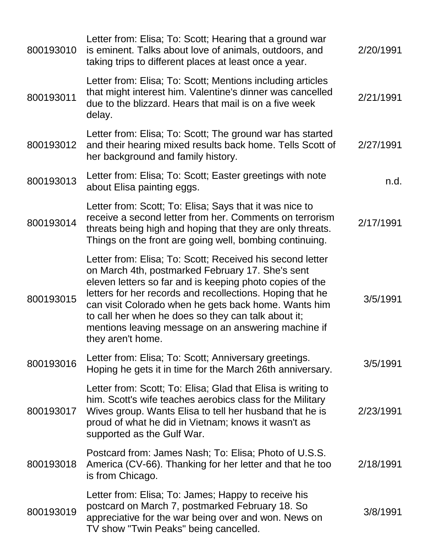| 800193010 | Letter from: Elisa; To: Scott; Hearing that a ground war<br>is eminent. Talks about love of animals, outdoors, and<br>taking trips to different places at least once a year.                                                                                                                                                                                                                                                      | 2/20/1991 |
|-----------|-----------------------------------------------------------------------------------------------------------------------------------------------------------------------------------------------------------------------------------------------------------------------------------------------------------------------------------------------------------------------------------------------------------------------------------|-----------|
| 800193011 | Letter from: Elisa; To: Scott; Mentions including articles<br>that might interest him. Valentine's dinner was cancelled<br>due to the blizzard. Hears that mail is on a five week<br>delay.                                                                                                                                                                                                                                       | 2/21/1991 |
| 800193012 | Letter from: Elisa; To: Scott; The ground war has started<br>and their hearing mixed results back home. Tells Scott of<br>her background and family history.                                                                                                                                                                                                                                                                      | 2/27/1991 |
| 800193013 | Letter from: Elisa; To: Scott; Easter greetings with note<br>about Elisa painting eggs.                                                                                                                                                                                                                                                                                                                                           | n.d.      |
| 800193014 | Letter from: Scott; To: Elisa; Says that it was nice to<br>receive a second letter from her. Comments on terrorism<br>threats being high and hoping that they are only threats.<br>Things on the front are going well, bombing continuing.                                                                                                                                                                                        | 2/17/1991 |
| 800193015 | Letter from: Elisa; To: Scott; Received his second letter<br>on March 4th, postmarked February 17. She's sent<br>eleven letters so far and is keeping photo copies of the<br>letters for her records and recollections. Hoping that he<br>can visit Colorado when he gets back home. Wants him<br>to call her when he does so they can talk about it;<br>mentions leaving message on an answering machine if<br>they aren't home. | 3/5/1991  |
| 800193016 | Letter from: Elisa; To: Scott; Anniversary greetings.<br>Hoping he gets it in time for the March 26th anniversary.                                                                                                                                                                                                                                                                                                                | 3/5/1991  |
| 800193017 | Letter from: Scott; To: Elisa; Glad that Elisa is writing to<br>him. Scott's wife teaches aerobics class for the Military<br>Wives group. Wants Elisa to tell her husband that he is<br>proud of what he did in Vietnam; knows it wasn't as<br>supported as the Gulf War.                                                                                                                                                         | 2/23/1991 |
| 800193018 | Postcard from: James Nash; To: Elisa; Photo of U.S.S.<br>America (CV-66). Thanking for her letter and that he too<br>is from Chicago.                                                                                                                                                                                                                                                                                             | 2/18/1991 |
| 800193019 | Letter from: Elisa; To: James; Happy to receive his<br>postcard on March 7, postmarked February 18. So<br>appreciative for the war being over and won. News on<br>TV show "Twin Peaks" being cancelled.                                                                                                                                                                                                                           | 3/8/1991  |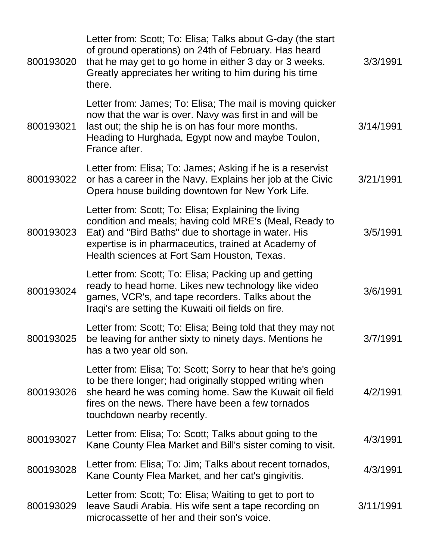| 800193020 | Letter from: Scott; To: Elisa; Talks about G-day (the start<br>of ground operations) on 24th of February. Has heard<br>that he may get to go home in either 3 day or 3 weeks.<br>Greatly appreciates her writing to him during his time<br>there.                            | 3/3/1991  |
|-----------|------------------------------------------------------------------------------------------------------------------------------------------------------------------------------------------------------------------------------------------------------------------------------|-----------|
| 800193021 | Letter from: James; To: Elisa; The mail is moving quicker<br>now that the war is over. Navy was first in and will be<br>last out; the ship he is on has four more months.<br>Heading to Hurghada, Egypt now and maybe Toulon,<br>France after.                               | 3/14/1991 |
| 800193022 | Letter from: Elisa; To: James; Asking if he is a reservist<br>or has a career in the Navy. Explains her job at the Civic<br>Opera house building downtown for New York Life.                                                                                                 | 3/21/1991 |
| 800193023 | Letter from: Scott; To: Elisa; Explaining the living<br>condition and meals; having cold MRE's (Meal, Ready to<br>Eat) and "Bird Baths" due to shortage in water. His<br>expertise is in pharmaceutics, trained at Academy of<br>Health sciences at Fort Sam Houston, Texas. | 3/5/1991  |
| 800193024 | Letter from: Scott; To: Elisa; Packing up and getting<br>ready to head home. Likes new technology like video<br>games, VCR's, and tape recorders. Talks about the<br>Iraqi's are setting the Kuwaiti oil fields on fire.                                                     | 3/6/1991  |
| 800193025 | Letter from: Scott; To: Elisa; Being told that they may not<br>be leaving for anther sixty to ninety days. Mentions he<br>has a two year old son.                                                                                                                            | 3/7/1991  |
| 800193026 | Letter from: Elisa; To: Scott; Sorry to hear that he's going<br>to be there longer; had originally stopped writing when<br>she heard he was coming home. Saw the Kuwait oil field<br>fires on the news. There have been a few tornados<br>touchdown nearby recently.         | 4/2/1991  |
| 800193027 | Letter from: Elisa; To: Scott; Talks about going to the<br>Kane County Flea Market and Bill's sister coming to visit.                                                                                                                                                        | 4/3/1991  |
| 800193028 | Letter from: Elisa; To: Jim; Talks about recent tornados,<br>Kane County Flea Market, and her cat's gingivitis.                                                                                                                                                              | 4/3/1991  |
| 800193029 | Letter from: Scott; To: Elisa; Waiting to get to port to<br>leave Saudi Arabia. His wife sent a tape recording on<br>microcassette of her and their son's voice.                                                                                                             | 3/11/1991 |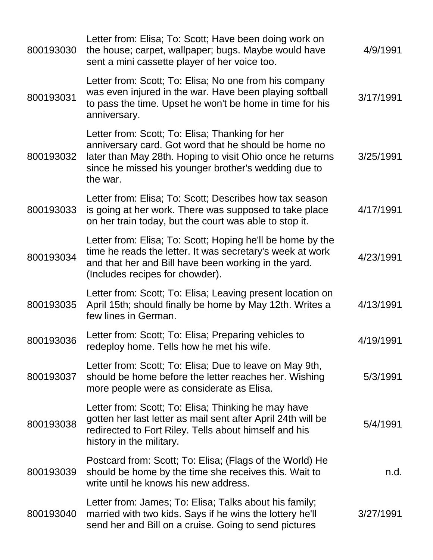| 800193030 | Letter from: Elisa; To: Scott; Have been doing work on<br>the house; carpet, wallpaper; bugs. Maybe would have<br>sent a mini cassette player of her voice too.                                                                          | 4/9/1991  |
|-----------|------------------------------------------------------------------------------------------------------------------------------------------------------------------------------------------------------------------------------------------|-----------|
| 800193031 | Letter from: Scott; To: Elisa; No one from his company<br>was even injured in the war. Have been playing softball<br>to pass the time. Upset he won't be home in time for his<br>anniversary.                                            | 3/17/1991 |
| 800193032 | Letter from: Scott; To: Elisa; Thanking for her<br>anniversary card. Got word that he should be home no<br>later than May 28th. Hoping to visit Ohio once he returns<br>since he missed his younger brother's wedding due to<br>the war. | 3/25/1991 |
| 800193033 | Letter from: Elisa; To: Scott; Describes how tax season<br>is going at her work. There was supposed to take place<br>on her train today, but the court was able to stop it.                                                              | 4/17/1991 |
| 800193034 | Letter from: Elisa; To: Scott; Hoping he'll be home by the<br>time he reads the letter. It was secretary's week at work<br>and that her and Bill have been working in the yard.<br>(Includes recipes for chowder).                       | 4/23/1991 |
| 800193035 | Letter from: Scott; To: Elisa; Leaving present location on<br>April 15th; should finally be home by May 12th. Writes a<br>few lines in German.                                                                                           | 4/13/1991 |
| 800193036 | Letter from: Scott; To: Elisa; Preparing vehicles to<br>redeploy home. Tells how he met his wife.                                                                                                                                        | 4/19/1991 |
| 800193037 | Letter from: Scott; To: Elisa; Due to leave on May 9th,<br>should be home before the letter reaches her. Wishing<br>more people were as considerate as Elisa.                                                                            | 5/3/1991  |
| 800193038 | Letter from: Scott; To: Elisa; Thinking he may have<br>gotten her last letter as mail sent after April 24th will be<br>redirected to Fort Riley. Tells about himself and his<br>history in the military.                                 | 5/4/1991  |
| 800193039 | Postcard from: Scott; To: Elisa; (Flags of the World) He<br>should be home by the time she receives this. Wait to<br>write until he knows his new address.                                                                               | n.d.      |
| 800193040 | Letter from: James; To: Elisa; Talks about his family;<br>married with two kids. Says if he wins the lottery he'll<br>send her and Bill on a cruise. Going to send pictures                                                              | 3/27/1991 |